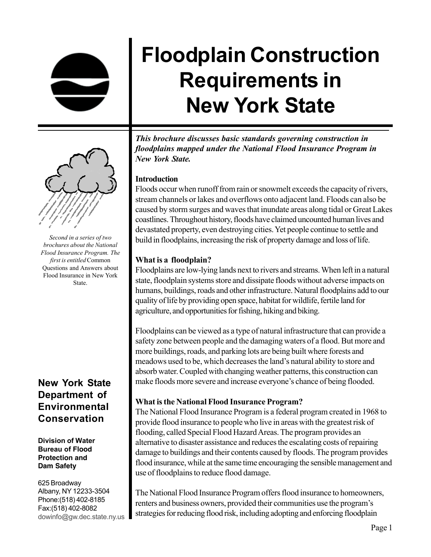# **Floodplain Construction Requirements in New York State**



*Second in a series of two brochures about the National Flood Insurance Program. The first is entitled* Common Questions and Answers about Flood Insurance in New York State.

# **New York State Department of Environmental Conservation**

#### **Division of Water Bureau of Flood Protection and Dam Safety**

625 Broadway Albany, NY 12233-3504 Phone:(518) 402-8185 Fax:(518) 402-8082 dowinfo@gw.dec.state.ny.us

*This brochure discusses basic standards governing construction in floodplains mapped under the National Flood Insurance Program in New York State.*

#### **Introduction**

Floods occur when runoff from rain or snowmelt exceeds the capacity of rivers, stream channels or lakes and overflows onto adjacent land. Floods can also be caused by storm surges and waves that inundate areas along tidal or Great Lakes coastlines. Throughout history, floods have claimed uncounted human lives and devastated property, even destroying cities. Yet people continue to settle and build in floodplains, increasing the risk of property damage and loss of life.

#### **What is a floodplain?**

Floodplains are low-lying lands next to rivers and streams. When left in a natural state, floodplain systems store and dissipate floods without adverse impacts on humans, buildings, roads and other infrastructure. Natural floodplains add to our quality of life by providing open space, habitat for wildlife, fertile land for agriculture, and opportunities for fishing, hiking and biking.

Floodplains can be viewed as a type of natural infrastructure that can provide a safety zone between people and the damaging waters of a flood. But more and more buildings, roads, and parking lots are being built where forests and meadows used to be, which decreases the land's natural ability to store and absorb water. Coupled with changing weather patterns, this construction can make floods more severe and increase everyone's chance of being flooded.

# **What is the National Flood Insurance Program?**

The National Flood Insurance Program is a federal program created in 1968 to provide flood insurance to people who live in areas with the greatest risk of flooding, called Special Flood Hazard Areas. The program provides an alternative to disaster assistance and reduces the escalating costs of repairing damage to buildings and their contents caused by floods. The program provides flood insurance, while at the same time encouraging the sensible management and use of floodplains to reduce flood damage.

The National Flood Insurance Program offers flood insurance to homeowners, renters and business owners, provided their communities use the program's strategies for reducing flood risk, including adopting and enforcing floodplain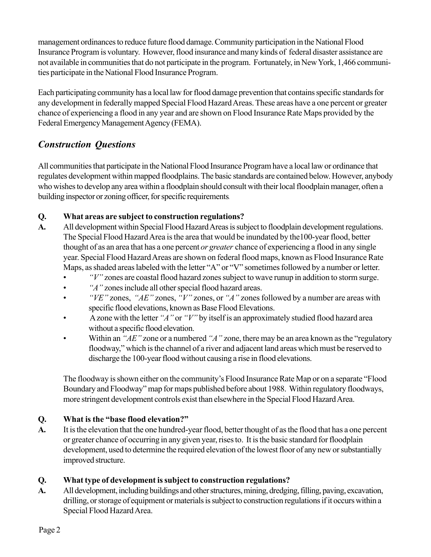management ordinances to reduce future flood damage. Community participation in the National Flood Insurance Program is voluntary. However, flood insurance and many kinds of federal disaster assistance are not available in communities that do not participate in the program. Fortunately, in New York, 1,466 communities participate in the National Flood Insurance Program.

Each participating community has a local law for flood damage prevention that contains specific standards for any development in federally mapped Special Flood Hazard Areas. These areas have a one percent or greater chance of experiencing a flood in any year and are shown on Flood Insurance Rate Maps provided by the Federal Emergency Management Agency (FEMA).

# *Construction Questions*

All communities that participate in the National Flood Insurance Program have a local law or ordinance that regulates development within mapped floodplains. The basic standards are contained below. However, anybody who wishes to develop any area within a floodplain should consult with their local floodplain manager, often a building inspector or zoning officer, for specific requirements.

#### **Q. What areas are subject to construction regulations?**

- **A.** All development within Special Flood Hazard Areas is subject to floodplain development regulations. The Special Flood Hazard Area is the area that would be inundated by the100-year flood, better thought of as an area that has a one percent *or greater* chance of experiencing a flood in any single year. Special Flood Hazard Areas are shown on federal flood maps, known as Flood Insurance Rate Maps, as shaded areas labeled with the letter "A" or "V" sometimes followed by a number or letter.
	- *"V"* zones are coastal flood hazard zones subject to wave runup in addition to storm surge.
	- *"A"* zones include all other special flood hazard areas.
	- *"VE"* zones, *"AE"* zones, *"V"* zones, or *"A"* zones followed by a number are areas with specific flood elevations, known as Base Flood Elevations.
	- A zone with the letter *"A"* or *"V"* by itself is an approximately studied flood hazard area without a specific flood elevation.
	- Within an *"AE"* zone or a numbered *"A"* zone, there may be an area known as the "regulatory floodway," which is the channel of a river and adjacent land areas which must be reserved to discharge the 100-year flood without causing a rise in flood elevations.

The floodway is shown either on the community's Flood Insurance Rate Map or on a separate "Flood Boundary and Floodway" map for maps published before about 1988. Within regulatory floodways, more stringent development controls exist than elsewhere in the Special Flood Hazard Area.

#### **Q. What is the "base flood elevation?"**

**A.** It is the elevation that the one hundred-year flood, better thought of as the flood that has a one percent or greater chance of occurring in any given year, rises to. It is the basic standard for floodplain development, used to determine the required elevation of the lowest floor of any new or substantially improved structure.

# **Q. What type of development is subject to construction regulations?**

**A.** All development, including buildings and other structures, mining, dredging, filling, paving, excavation, drilling, or storage of equipment or materials is subject to construction regulations if it occurs within a Special Flood Hazard Area.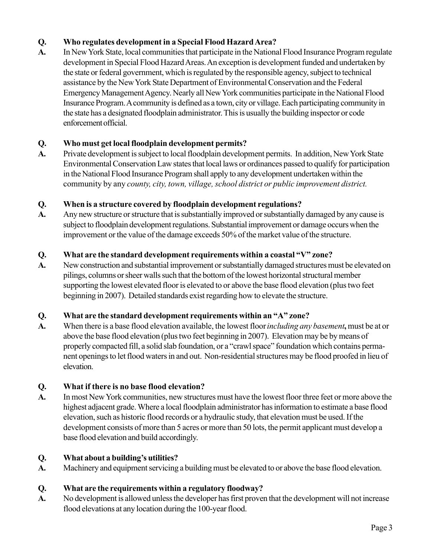#### **Q. Who regulates development in a Special Flood Hazard Area?**

**A.** In New York State, local communities that participate in the National Flood Insurance Program regulate development in Special Flood Hazard Areas. An exception is development funded and undertaken by the state or federal government, which is regulated by the responsible agency, subject to technical assistance by the New York State Department of Environmental Conservation and the Federal Emergency Management Agency. Nearly all New York communities participate in the National Flood Insurance Program. A community is defined as a town, city or village. Each participating community in the state has a designated floodplain administrator. This is usually the building inspector or code enforcement official.

#### **Q. Who must get local floodplain development permits?**

**A.** Private development is subject to local floodplain development permits. In addition, New York State Environmental Conservation Law states that local laws or ordinances passed to qualify for participation in the National Flood Insurance Program shall apply to any development undertaken within the community by any *county, city, town, village, school district or public improvement district.*

#### **Q. When is a structure covered by floodplain development regulations?**

**A.** Any new structure or structure that is substantially improved or substantially damaged by any cause is subject to floodplain development regulations. Substantial improvement or damage occurs when the improvement or the value of the damage exceeds 50% of the market value of the structure.

#### **Q. What are the standard development requirements within a coastal "V" zone?**

**A.** New construction and substantial improvement or substantially damaged structures must be elevated on pilings, columns or sheer walls such that the bottom of the lowest horizontal structural member supporting the lowest elevated floor is elevated to or above the base flood elevation (plus two feet beginning in 2007).Detailed standards exist regarding how to elevate the structure.

#### **Q. What are the standard development requirements within an "A" zone?**

**A.** When there is a base flood elevation available, the lowest floor *including any basement***,** must be at or above the base flood elevation (plus two feet beginning in 2007). Elevation may be by means of properly compacted fill, a solid slab foundation, or a "crawl space" foundation which contains permanent openings to let flood waters in and out.Non-residential structures may be flood proofed in lieu of elevation.

#### **Q. What if there is no base flood elevation?**

**A.** In most New York communities, new structures must have the lowest floor three feet or more above the highest adjacent grade. Where a local floodplain administrator has information to estimate a base flood elevation, such as historic flood records or a hydraulic study, that elevation must be used. If the development consists of more than 5 acres or more than 50 lots, the permit applicant must develop a base flood elevation and build accordingly.

#### **Q. What about a building's utilities?**

**A.** Machinery and equipment servicing a building must be elevated to or above the base flood elevation.

# **Q. What are the requirements within a regulatory floodway?**

**A.** No development is allowed unless the developer has first proven that the development will not increase flood elevations at any location during the 100-year flood.